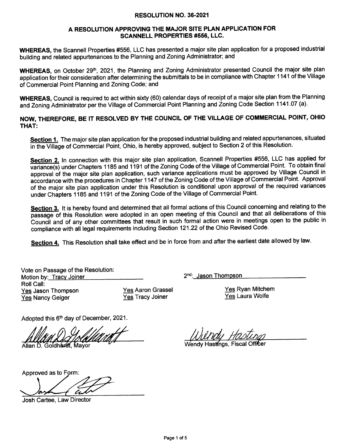## RESOLUTION NO.36-2021

## A RESOLUTION APPROVING THE MAJOR SITE PLAN APPLICATION FOR SCANNELL PROPERTIES #556, LLC.

WHEREAS, the Scannetl Properties #556, LLC has presented a major site plan application for a proposed industrial building and related appurtenances to the Planning and Zoning Administrator; and

WHEREAS, on October 29<sup>th</sup>, 2021, the Planning and Zoning Administrator presented Council the major site plan application for their consideration after determining the submittals to be in compliance with Chapter 1 141 of the Village of Commercial Point Planning and Zoning Code; and

WHEREAS, Council is required to act within sixty (60) calendar days of receipt of a major site plan from the Planning and Zoning Administrator per the Village of Commercial Point Planning and Zoning Code Section 1141.07 (a).

NOW, THEREFORE, BE IT RESOLVED BY THE COUNCIL OF THE VILLAGE OF COMMERCIAL POINT, OHIO THAT:

Section 1. The major site plan application for the proposed industrial building and related appurtenances, situated in the Village of Commercial Point, Ohio, is hereby approved, subject to Section 2 of this Resolution.

Section 2. In connection with this major site plan application, Scannell Properties #556, LLC has applied for variance(s) under Chapters 1185 and 1191 of the Zoning Code of the Village of Commercial Point. To obtain final approval'of the major site plan application, such variance applications must be approved by Village Council in accordance with the procedures in Chapter 1147 of the Zoning Code of the Village of Commercial Point. Approval of the major site plan application under this Resolution is conditional upon approval of the required variances under Chapters 1 185 and 1 191 of the Zoning Code of the Village of Commercial Point.

Section 3. It is hereby found and determined that all formal actions of this Council concerning and relating to the passage of this Resoiution were adopted in an open meeting of this Council and that all deliberations of this Council and of any other committees that result in such formal action were in meetings open to the public in compliance with all legal requirements including Section 121.22 of the Ohio Revised Code.

Section 4. This Resolution shall take effect and be in force from and after the earliest date allowed by law.

| Vote on Passage of the Resolution: |     |  |  |  |
|------------------------------------|-----|--|--|--|
| Motion by: Tracy Joiner            |     |  |  |  |
| Roll Call:                         |     |  |  |  |
| Yes Jason Thompson                 | Ye: |  |  |  |
| <b>Yes Nancy Geiger</b>            | Ye  |  |  |  |

s Aaron Grassel **S Tracy Joiner** 

Yes Ryan Mitchem Yes Laura Wolfe

Adopted this 6<sup>th</sup> day of December, 2021.

Allan D. Goldhardt. Mavor

2<sup>nd</sup>: Jason Thompson

Wendy Hastings, Fiscal Officer

Approved as to Form:

Josh Cartee, Law Director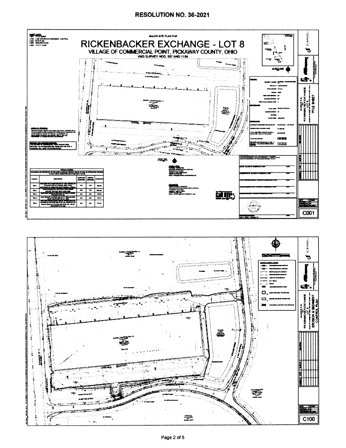## RESOLUTION NO. 36-2021



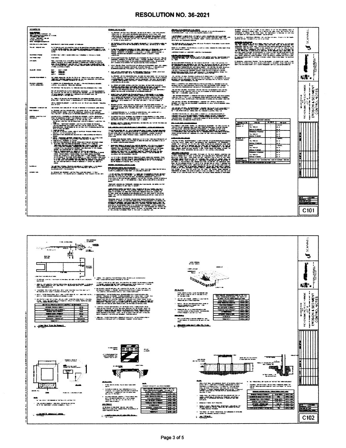## RESOLUTION NO. 36-2021

| Annual Marine<br><b>BOOTERSHIP WAS</b><br>construction and controls to the control |                                                                                                                                                                                                                                                                                                                                                                                                                                                                                                                                            | <b>Shrida Andrew Wilde</b><br>$\begin{minipage}{0.9\textwidth} \begin{tabular}{l} \hline \textbf{a},\textbf{b},\textbf{c},\textbf{c},\textbf{c},\textbf{c},\textbf{c},\textbf{c},\textbf{c},\textbf{c},\textbf{c},\textbf{c},\textbf{c},\textbf{c},\textbf{c},\textbf{c},\textbf{c},\textbf{c},\textbf{c},\textbf{c},\textbf{c},\textbf{c},\textbf{c},\textbf{c},\textbf{c},\textbf{c},\textbf{c},\textbf{c},\textbf{c},\textbf{c},\textbf{c},\textbf{c},\textbf$                                                                                                                                                                                                                                                    | <b>WASHIMAN WASHING</b><br><b>LANDY HAR. I WE NOTING</b>                                                                                                                                                                                                                                                                                  | adriadas com antes de colonista en ele parece o el el las sucedestas opera de las sucedes de la provincia de<br>Subjector del las signas de la finale de la colonista de la participación de la colonidad de la finale de la<br>Subj<br>, sontiac ic. Mandolm Albidae, you contae, it as a mount out o must<br>pathetic informatic firm thank of the side, it can include | $\frac{12}{2}$<br>₹                                                        |
|------------------------------------------------------------------------------------|--------------------------------------------------------------------------------------------------------------------------------------------------------------------------------------------------------------------------------------------------------------------------------------------------------------------------------------------------------------------------------------------------------------------------------------------------------------------------------------------------------------------------------------------|----------------------------------------------------------------------------------------------------------------------------------------------------------------------------------------------------------------------------------------------------------------------------------------------------------------------------------------------------------------------------------------------------------------------------------------------------------------------------------------------------------------------------------------------------------------------------------------------------------------------------------------------------------------------------------------------------------------------|-------------------------------------------------------------------------------------------------------------------------------------------------------------------------------------------------------------------------------------------------------------------------------------------------------------------------------------------|---------------------------------------------------------------------------------------------------------------------------------------------------------------------------------------------------------------------------------------------------------------------------------------------------------------------------------------------------------------------------|----------------------------------------------------------------------------|
| -------<br>--                                                                      |                                                                                                                                                                                                                                                                                                                                                                                                                                                                                                                                            | contraction, calls, and differential space and contract rates and the matter and contract and records.<br>At their indicate space and description                                                                                                                                                                                                                                                                                                                                                                                                                                                                                                                                                                    | their district and determined in the first                                                                                                                                                                                                                                                                                                |                                                                                                                                                                                                                                                                                                                                                                           | X                                                                          |
| dent-buyer of instances and<br><b>The All Canada and State</b>                     | did its 614 (resident and chees in restices<br>Ar folk de Micedi est adaptar tem la de destitaci pacient appar                                                                                                                                                                                                                                                                                                                                                                                                                             |                                                                                                                                                                                                                                                                                                                                                                                                                                                                                                                                                                                                                                                                                                                      | THE TOOL OF STATE AND COLUMN TO A 44-YEAR-OLD FOR SPINS THAT TO BE SERVED<br><b>RENEWALS ART-DENSEY PROVIDENCE ON A SALE OUT OUT OUT AND ARTICLES THE ARTICLE REPORT OF A</b>                                                                                                                                                             | <b>THEIL</b> carenzarian                                                                                                                                                                                                                                                                                                                                                  | a                                                                          |
|                                                                                    | . <i>בני המשפט המונים בישראל המונים ה</i> מו                                                                                                                                                                                                                                                                                                                                                                                                                                                                                               | <b>MARGEMENT AND STATISTIC CONSTITUTION</b><br>Malaysia (Managalina) da aga dalam yang kara-da ini da kaling pagkalimpina dan ini.<br>Malaysia (Malaysia) nasi dikebatan kepada da kara-da ini managa kara-da ini mana                                                                                                                                                                                                                                                                                                                                                                                                                                                                                               | <b>ANY HARRY RELEVANS</b><br><b>Additional American Control and Control Control Composition</b>                                                                                                                                                                                                                                           | <b>STAR TO COLORADO AND AND T</b>                                                                                                                                                                                                                                                                                                                                         |                                                                            |
| <b><i><u>A MARCHAN</u></i></b><br><b><i>SALESMAN MALE</i></b>                      | PARTIES CONTRACT COMMITTEE AND CONTRACT AND DESCRIPTIONS OF THE AMERICAN CONTRACT OF THE AMERICAN CONTRACT OF<br><b>SHE STAR</b>                                                                                                                                                                                                                                                                                                                                                                                                           | محاربين والمنافرين                                                                                                                                                                                                                                                                                                                                                                                                                                                                                                                                                                                                                                                                                                   | <b>12027 Guorna 21 anni 1</b>                                                                                                                                                                                                                                                                                                             |                                                                                                                                                                                                                                                                                                                                                                           | ŧź                                                                         |
| and darks                                                                          | filien, mang terdapat dari sirik alama adalah dalam dalam dalam pada salah salah.<br>Alama, memberiki filimus esaar dalam dalam ketahangan basar selemah untuk sebagai p                                                                                                                                                                                                                                                                                                                                                                   | alifat de casal francés en elle chieste e el colonnais de c'hall a pe pe vez a 1980, all.<br>1980 : la colonnais de casal de colonnais de la forma de la colonnais de colonnais.<br>1981 : la forma de la casal de forma de la colon<br>Min-Akabetic Aires apolitic Vall, quotava algebra, muito de quotatore                                                                                                                                                                                                                                                                                                                                                                                                        | 45-YEAR-REPORTER PRODUCED AND THE HUMAN ALGORITHMENT COMPANY OF SURFACE SURFACE.<br>TERMANG TANGALIW'                                                                                                                                                                                                                                     | if (Robbinin), vedene denkt Magniter (Met de lags genom), av vennet prinst Lanceli, verkent<br>Antiochan av Schenkent (Rob (Antiochan av Antiochan), av in vennet prinst av met først blavet blav.<br>Antiochi (Robert antiochan), a                                                                                                                                      |                                                                            |
| ---                                                                                | <b>CONTRACTOR</b>                                                                                                                                                                                                                                                                                                                                                                                                                                                                                                                          | what results this financial engine streams is dissinguities and at laster<br>and their mode manager distincts in policy results of the anti-                                                                                                                                                                                                                                                                                                                                                                                                                                                                                                                                                                         |                                                                                                                                                                                                                                                                                                                                           |                                                                                                                                                                                                                                                                                                                                                                           | <b>Barbara</b>                                                             |
|                                                                                    | 1987<br>福富                                                                                                                                                                                                                                                                                                                                                                                                                                                                                                                                 | And a state of the following the state of the contrast                                                                                                                                                                                                                                                                                                                                                                                                                                                                                                                                                                                                                                                               | <b>The constant of the constant of the constant of the con-</b>                                                                                                                                                                                                                                                                           |                                                                                                                                                                                                                                                                                                                                                                           |                                                                            |
| <b>Advertising Industrial Control</b>                                              | 2007-2008 - Anders Holly, 2007-2014 - 2014 - 2014 - 2024 - 2024 - 2024 - 2024 - 2024 - 2024 - 2024<br>Service above, post of the control and the service.                                                                                                                                                                                                                                                                                                                                                                                  | ALL DROWN CARTIFICATIONAL MODEL AND AND MAXIMUM. YOU CAN A GOVERN<br>of this capacities have it contributes and the contribution of the state fields a set<br>TOTAL AREA PRIME TO ALL I<br>and the first state of the state of the                                                                                                                                                                                                                                                                                                                                                                                                                                                                                   | a de la componentación de la componentación de la componentación de la componentación de la componentación de<br>En estableción de la componentación de la componentación de la componentación de la componentación de la compo                                                                                                           |                                                                                                                                                                                                                                                                                                                                                                           | ¥d.                                                                        |
| interioris e alternativo<br>Selectore infiniteira                                  | in continue with of relaxation and , by copy to the cold for answer education<br>contract manufactured research and the                                                                                                                                                                                                                                                                                                                                                                                                                    | AND WAS THE MAIN OF THE WAY OF A 1999 WAS THE WAY OF THE WAY OF THE WAY OF THE WAY OF THE WAY OF THE WAY OF THE WAY OF THE WAY OF THE WAY OF THE WAY OF THE WAY OF THE WAY OF THE WAY OF THE WAY OF THE WAY OF THE WAY OF THE                                                                                                                                                                                                                                                                                                                                                                                                                                                                                        | <b>In the the first threater sense, by adjustably as her, yet,</b><br>ada adalah silap kalip kalangan dapat, adalah kalan kalang kalangan kalang dapat separangan sela<br>Sebagai katas kalan dan berasama dapat dan dapat di sebagai dan dapat dan sebagai dan sebagai dan sebagai seba                                                  |                                                                                                                                                                                                                                                                                                                                                                           |                                                                            |
|                                                                                    | Mortand and " Healthy Annie" are noted and Annie and Annie Annie Annie Annie Annie                                                                                                                                                                                                                                                                                                                                                                                                                                                         | <b>TASTIC PRIMETALE "</b><br>the TASK official specialists and the China Protectional states. Its right-species<br>14,000<br>attains, and success as their state or accessive and a co-                                                                                                                                                                                                                                                                                                                                                                                                                                                                                                                              | The contribution of the model, Academic and Companies contributions and additionalize a manufacture of                                                                                                                                                                                                                                    |                                                                                                                                                                                                                                                                                                                                                                           | ANCH.<br>$\frac{1}{2}$                                                     |
|                                                                                    | der aft det stelle skrive som av de stelle stelle av de stelle variationsmenter.<br>De variation for stelle som av de stelle stelle stelle som for stelle stelle stelle stelle som.<br>De stelle de variation (de stelle som av de s                                                                                                                                                                                                                                                                                                       | nille between the company of the residents                                                                                                                                                                                                                                                                                                                                                                                                                                                                                                                                                                                                                                                                           | anno a componente de la componente de la componente de la componente de la componente de la componente de la c<br>La componente de la componente de la componente de la componente de la componente de la componente de la compo                                                                                                          |                                                                                                                                                                                                                                                                                                                                                                           | $\mathbf{r}$<br>ೆ ಎ<br>g                                                   |
|                                                                                    | all'internazionale deposition della della forma della compositione dell'aggiore della condita della condita de<br>All'internazionale il regionità dell'aggiore della compositionata della condita dell'aggiore dell'aggiore dell                                                                                                                                                                                                                                                                                                           |                                                                                                                                                                                                                                                                                                                                                                                                                                                                                                                                                                                                                                                                                                                      | (1986), Alexandri Kili Amerikalı (ö. 1986), Alexandri Kalendalı (ö. 1989), Alexandri Alexandri Kalendalı (ö. 1<br>1988–1989 - Alexandri Alexandri Alexandri (ö. 1989), Alexandri Alexandri (ö. 1989), Alexandri Alexandrialı (ö.<br>                                                                                                      |                                                                                                                                                                                                                                                                                                                                                                           | لمنا<br>署著<br>$\sim$ 1<br>$\mathbf{r}$<br>$\mathbf{e}_\bullet \mathcal{X}$ |
|                                                                                    | ويعتبرونه الطريبين وتوريدها أيته الدرم بتبلا لعزبات المتعقر متعطف ببدهم<br>Andrew James Belley                                                                                                                                                                                                                                                                                                                                                                                                                                             |                                                                                                                                                                                                                                                                                                                                                                                                                                                                                                                                                                                                                                                                                                                      | ter van ten van het van die regeleerde in 'n gewone van die groot van de van die van die van die van die van d<br>Afrikaans van die van die beskriuwe van die van die van die van die van die van die van die van die van die va                                                                                                          |                                                                                                                                                                                                                                                                                                                                                                           | $\frac{1}{2}$ ( $\frac{1}{2}$<br>കത്                                       |
| derantica considerate                                                              | the entires. He companies to be an or distance to access to any decay                                                                                                                                                                                                                                                                                                                                                                                                                                                                      | alkunnan kesättyi myös mittä kesä muodista ja kesättämän savassa kesättävän kuisen kesättävän kuisen kesättävä<br>Vallasta vallasta kuuluussa muodista vallasta vallasta kesättävän kesättävän kuuluussa kuuluussa.<br>Vallastajan v                                                                                                                                                                                                                                                                                                                                                                                                                                                                                 | and and the sequence of the state of the state of the state of the state of the state of the state of the state of the state of the state of the state of the state of the state of the state of the state of the state of the                                                                                                            |                                                                                                                                                                                                                                                                                                                                                                           | $\sum_{k=1}^{\infty}$<br>₹<br>٠                                            |
| <b>MAR-10-MAL-A</b>                                                                | al fermana kantaan alemana ang tigama tinat terundahan.<br>Antara tahun milihiri bahasa tinata alam kang tahun 1990.<br>Martin tahun tahun 1992 dan kalendar daripada ang katalung dalam kanggaran                                                                                                                                                                                                                                                                                                                                         | is naminalā Albanas, jau un mainlais no adalatīts atmus als sundrabis atšīniek.<br>Andrudojas atkuras ir sundrabis augustā un atsaules atkl                                                                                                                                                                                                                                                                                                                                                                                                                                                                                                                                                                          | to "Audit of the street different control the indication control that has                                                                                                                                                                                                                                                                 |                                                                                                                                                                                                                                                                                                                                                                           | <b>HENGH</b>                                                               |
| adados, questinicion<br>Villagand                                                  | sunuan miksi Sikalanga, si disebut melukukan Lindia mengelua.<br>Muni di kabawah di mara dari Mandangan dan Kulau Samarahan di<br>tes festivals i dels tes transportants de un transportant dels compositors.<br>Il del este arrivante dels teste del teste al serie componente estere la componente del componente del compo                                                                                                                                                                                                              | ta mandata al false del suo introduzione i de contemplaza al finale politicialme, forma alla capacità.<br>Manipoli estili capacità destaca del talizza della finale i si capacità apparente la conseguita e regio con                                                                                                                                                                                                                                                                                                                                                                                                                                                                                                | rawatan menggalui nchin ang unang kalendar at karena<br>and diamed the the seasons<br>contracted in the contracted of the person of the development of the contracted of the contracted of the contracted of the contracted of the contracted of the contracted of the contracted of the contracted of the contracte<br>والمحمد فتنتجز ما | - - -<br><b>State of</b>                                                                                                                                                                                                                                                                                                                                                  | န္ဝူးမ<br>تنه<br>-63<br>$\mathbf{r}$                                       |
|                                                                                    | $\begin{array}{l} \begin{array}{l} \text{if $n$ is a non-zero, $n$ is a non-zero, $n$ is a non-zero, $n$ is a non-zero, $n$ is a non-zero, $n$ is a non-zero, $n$ is a non-zero, $n$ is a non-zero, $n$ is a non-zero, $n$ is a non-zero, $n$ is a non-zero, $n$ is a non-zero, $n$ is a non-zero, $n$ is a non-zero, $n$ is a non-zero, $n$ is a non-zero, $n$ is a non-zero, $n$ is a non-zero, $n$ is a non-zero, $n$ is a non-zero, $n$ is a non-zero, $n$ is a non-zero, $n$ is a non-zero, $n$ is a non-zero, $n$ is a non-zero, $n$ | <b>CONTRACTOR IN THE RESIDENCE WAS ARRESTED FOR THE PROPERTY OF A STATE OF THE SECOND AND RESIDENTS.</b>                                                                                                                                                                                                                                                                                                                                                                                                                                                                                                                                                                                                             | <b>Stati hands deligi all holme models</b>                                                                                                                                                                                                                                                                                                | कारण<br>----<br>-<br>---                                                                                                                                                                                                                                                                                                                                                  |                                                                            |
|                                                                                    | enterproblem about the spreaders of the low rates to any of additional state and hope<br>direct on transportation of                                                                                                                                                                                                                                                                                                                                                                                                                       | والمتحدث والمستحقق المناقش والمستنقذ المراوية والمناقر والمتنازل والمتناول والمترافية                                                                                                                                                                                                                                                                                                                                                                                                                                                                                                                                                                                                                                | Termine and the second series of the series                                                                                                                                                                                                                                                                                               | نگون کار<br>in a<br>بمستعجزتها<br>منعا                                                                                                                                                                                                                                                                                                                                    |                                                                            |
|                                                                                    | r salah dari berjudu pada dalam kecamatan dan berjudu dalam kecamatan dan berjudu.<br>1980-ban dan berjudu dan berjuduk dalam berjudu dan berjudu dan berjudu dan berjudu dan berjudu dan berjudu da<br>Now distribute showed the department is applied and a country of<br>ستعصر                                                                                                                                                                                                                                                          | <b>ALCOHOL: ALCOHOL: ALCOHOL: 1999-9010</b><br>State with the state and the foundation of the state in a state of                                                                                                                                                                                                                                                                                                                                                                                                                                                                                                                                                                                                    | of the old and harded and completed in color for the internal documents delivery<br><b>Schools I</b>                                                                                                                                                                                                                                      | يبجحانه بمنجو<br><b><i><u>Address Contractors</u></i></b><br>- -<br>محافظة سطر<br>تعانعا<br>pasah manai<br>ند. ت                                                                                                                                                                                                                                                          |                                                                            |
|                                                                                    | <b>BEATERS AND REAL PROPERTY OF REAL PROPERTY</b><br>t de la constitución de la constitución de la constitución de la constitución de la constitución de la constit<br>La constitución de la constitución de la constitución de la constitución de la constitución de la constitución<br>complete that depends determined and construction to relation                                                                                                                                                                                     | adiradirak, dalam disebutkan dengan ke dalam mencapat atau di menjadi kalendar dan apada terbangsunaan per<br>Adirah dalam pertama dan berasa dan berasama adi kepanjan dan pengarunaan sebagai pertama dan pengarunaan per                                                                                                                                                                                                                                                                                                                                                                                                                                                                                          | فاستعبنها عندين<br>.<br>And the first series and an experimental continues are also as the construction of the continues of the continu<br>a Portas coron abde quelo de colonidad um destinos e a rendado en<br>contin en a merido ar viz de la adeira procesión desenvolveiras que de                                                    | মাজাৰ কৰ<br><b>TEMPS</b><br><b>San Printer Add</b><br>ai a<br><b>Maria Princess</b><br>e a                                                                                                                                                                                                                                                                                |                                                                            |
|                                                                                    | 2002/02/2002 12:00:12:00<br>the an interesting the department and there are no the changes.<br><b>Bridge, Craft Holland Abrunder Life, Thease Photos.</b>                                                                                                                                                                                                                                                                                                                                                                                  | EL SERVERE ELECTRIC                                                                                                                                                                                                                                                                                                                                                                                                                                                                                                                                                                                                                                                                                                  | 2012/2020/00/00 2020 2021<br>Milledge and the trace of the bands are detected at the contribution with a substitution                                                                                                                                                                                                                     | ļ<br>فللخام للعا<br><b>MAGE.</b><br>man erann                                                                                                                                                                                                                                                                                                                             |                                                                            |
|                                                                                    | mummanian mu<br>tidak - masah ahibat - di basangan intera dalam melak kelumbah<br>national applic. Student, NYS - Anders and Manipulation (1) - Theory and analysis - Allegemental applications<br>And of the modernize of Manipulation applications and the condition of the properties of the modernize and                                                                                                                                                                                                                              | management when you has been been a standard                                                                                                                                                                                                                                                                                                                                                                                                                                                                                                                                                                                                                                                                         |                                                                                                                                                                                                                                                                                                                                           | manager and sensor<br>w.<br><b>ALCOHOL</b><br>متحددة بتسحقة<br>le la                                                                                                                                                                                                                                                                                                      |                                                                            |
|                                                                                    | <u> FILELAND ET ET ET ET</u>                                                                                                                                                                                                                                                                                                                                                                                                                                                                                                               | THAT IT WITHOUT THE MANY SERVICE PERSON TO CHECK THE MANY MANY SERVICE<br>and a fact the construction of the control of<br><b>REGISTER PLANSING TORR 15 MOUNTS</b>                                                                                                                                                                                                                                                                                                                                                                                                                                                                                                                                                   | Million and L<br>anni altija (d. 1788), la filosofisko radio, bilandar svoji reda (redi altija 1890), regi (palikolando danis,<br>Anglija (d. 1994), njemački svetensko od 1999 (d. 1999), nje stari (de navno od redi od 1999), nje od 1999 (d<br>19                                                                                     | <b>CAR BEA IN LINE TO ANNOUNCE THAT IN INCOME CARD IN THE REAL</b><br>and the seconds.<br><b>CATTLE DEALER PROPERTY AND LOC</b>                                                                                                                                                                                                                                           | H                                                                          |
| <b>Surface</b>                                                                     | and the compact of the compact of the company of the company of the company of the company of the company of the company of the company of the company of the company of the company of the company of the company of the comp                                                                                                                                                                                                                                                                                                             | <b>All controls are the state of the control and the state</b>                                                                                                                                                                                                                                                                                                                                                                                                                                                                                                                                                                                                                                                       |                                                                                                                                                                                                                                                                                                                                           |                                                                                                                                                                                                                                                                                                                                                                           |                                                                            |
| بعين بجلسهم                                                                        | <b>Market Market College And College And College</b>                                                                                                                                                                                                                                                                                                                                                                                                                                                                                       | PERSONAL PROPERTY AND ALL AND AND NOTES.<br>A single Procurations and Market Address and Company and Market Address of the American Association                                                                                                                                                                                                                                                                                                                                                                                                                                                                                                                                                                      | 321102212330                                                                                                                                                                                                                                                                                                                              |                                                                                                                                                                                                                                                                                                                                                                           |                                                                            |
|                                                                                    | des définitions auto définition sous l'était répossible des dispositions de langue.<br>Automatique de la constant les départements de la constant de la constant de la constant de la constant de la                                                                                                                                                                                                                                                                                                                                       | a de de la compagnie de la compagnie de la compagnie de la compagnie de la compagnie de la compagnie de la com<br>$\begin{array}{l} \text{in } \mathcal{M} \text{ is a finite and } \mathcal{M} \text{ is a finite and } \mathcal{M} \text{ is a finite and } \mathcal{M} \text{ is a finite and } \mathcal{M} \text{ is a finite and } \mathcal{M} \text{ is a finite and } \mathcal{M} \text{ is a finite and } \mathcal{M} \text{ is a finite and } \mathcal{M} \text{ is a finite and } \mathcal{M} \text{ is a finite and } \mathcal{M} \text{ is a finite and } \mathcal{M} \text{ is a finite and } \mathcal{M} \text{ is a finite and } \mathcal{M} \text{ is a finite and } \mathcal{M} \text{ is a finite$ |                                                                                                                                                                                                                                                                                                                                           |                                                                                                                                                                                                                                                                                                                                                                           |                                                                            |
|                                                                                    |                                                                                                                                                                                                                                                                                                                                                                                                                                                                                                                                            | .<br>Ngahungko ng dang sak Palabandhi, ang gang saka kupi (nasang), ay ngahuni paning.<br>pang gaya isi pangasa na paki naga kita galupaka.                                                                                                                                                                                                                                                                                                                                                                                                                                                                                                                                                                          |                                                                                                                                                                                                                                                                                                                                           |                                                                                                                                                                                                                                                                                                                                                                           |                                                                            |
|                                                                                    |                                                                                                                                                                                                                                                                                                                                                                                                                                                                                                                                            | $\begin{minipage}{0.9\linewidth} \begin{tabular}{l} \hline \textbf{1} & \textbf{2} & \textbf{3} & \textbf{5} & \textbf{1} & \textbf{1} & \textbf{1} & \textbf{1} & \textbf{1} & \textbf{1} & \textbf{1} & \textbf{1} & \textbf{1} & \textbf{1} & \textbf{1} & \textbf{1} & \textbf{1} & \textbf{1} & \textbf{1} & \textbf{1} & \textbf{1} & \textbf{1} & \textbf{1} & \textbf{1} & \textbf{1} & \textbf{1} & \textbf{1} & \textbf{1} &$<br>santa de les mateix de l'alta contracta del distancia familia del característica.<br>Al fonte del de la cola del distancia de discrimina del cola composició de la cola cola del cola cola.<br>Filippo de l'alta cola distancia del                                       |                                                                                                                                                                                                                                                                                                                                           |                                                                                                                                                                                                                                                                                                                                                                           | <b>COMPO</b><br>1958                                                       |
|                                                                                    |                                                                                                                                                                                                                                                                                                                                                                                                                                                                                                                                            | .<br>Pakalainen kaivalla oli Poli alkoitta kirjailija kauksi kuksi puolisel tavamineksia kirjailija alkoi, kirj<br><u>Marson olim Astitet von Millia (</u><br>sports. Also as that approximately in their circuit, distributed and constitutions according complete service<br>The construction of the following the control of the first control of the control of the control of                                                                                                                                                                                                                                                                                                                                   |                                                                                                                                                                                                                                                                                                                                           |                                                                                                                                                                                                                                                                                                                                                                           | vener man e u<br><b>The Property</b>                                       |
|                                                                                    |                                                                                                                                                                                                                                                                                                                                                                                                                                                                                                                                            |                                                                                                                                                                                                                                                                                                                                                                                                                                                                                                                                                                                                                                                                                                                      |                                                                                                                                                                                                                                                                                                                                           |                                                                                                                                                                                                                                                                                                                                                                           | C101                                                                       |

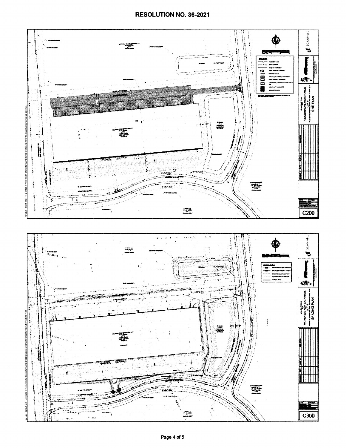